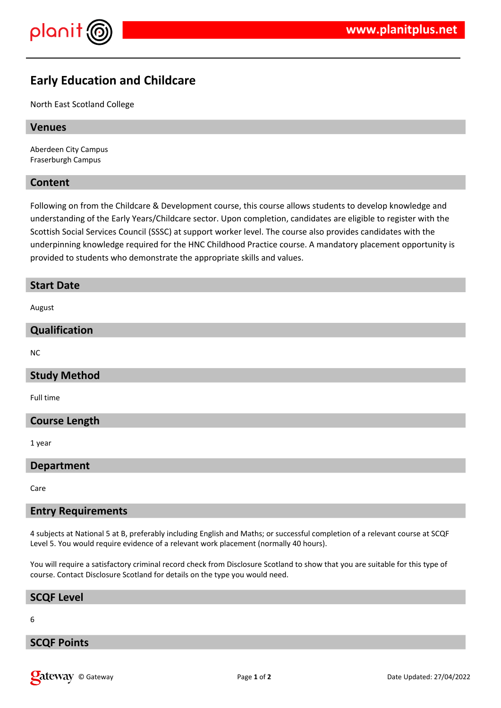

# **Early Education and Childcare**

North East Scotland College

#### **Venues**

Aberdeen City Campus Fraserburgh Campus

### **Content**

Following on from the Childcare & Development course, this course allows students to develop knowledge and understanding of the Early Years/Childcare sector. Upon completion, candidates are eligible to register with the Scottish Social Services Council (SSSC) at support worker level. The course also provides candidates with the underpinning knowledge required for the HNC Childhood Practice course. A mandatory placement opportunity is provided to students who demonstrate the appropriate skills and values.

#### **Start Date**

August

### **Qualification**

NC

## **Study Method**

Full time

## **Course Length**

1 year

#### **Department**

Care

#### **Entry Requirements**

4 subjects at National 5 at B, preferably including English and Maths; or successful completion of a relevant course at SCQF Level 5. You would require evidence of a relevant work placement (normally 40 hours).

You will require a satisfactory criminal record check from Disclosure Scotland to show that you are suitable for this type of course. Contact Disclosure Scotland for details on the type you would need.

#### **SCQF Level**

6

## **SCQF Points**